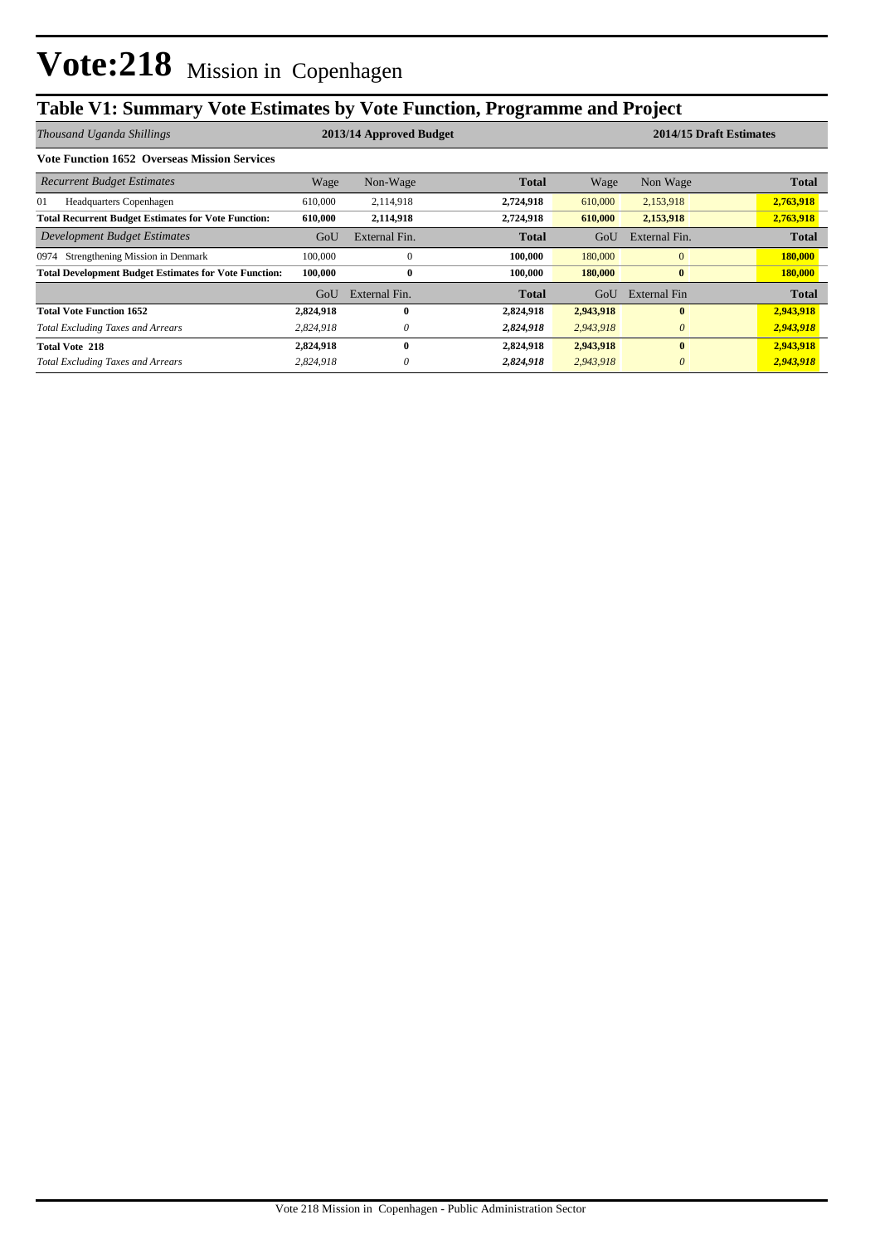## **Table V1: Summary Vote Estimates by Vote Function, Programme and Project**

| Thousand Uganda Shillings                                    | 2013/14 Approved Budget |               |              |           | 2014/15 Draft Estimates |                |  |
|--------------------------------------------------------------|-------------------------|---------------|--------------|-----------|-------------------------|----------------|--|
| <b>Vote Function 1652 Overseas Mission Services</b>          |                         |               |              |           |                         |                |  |
| <b>Recurrent Budget Estimates</b>                            | Wage                    | Non-Wage      | <b>Total</b> | Wage      | Non Wage                | <b>Total</b>   |  |
| 01<br>Headquarters Copenhagen                                | 610,000                 | 2,114,918     | 2,724,918    | 610,000   | 2,153,918               | 2,763,918      |  |
| <b>Total Recurrent Budget Estimates for Vote Function:</b>   | 610,000                 | 2,114,918     | 2,724,918    | 610,000   | 2,153,918               | 2,763,918      |  |
| Development Budget Estimates                                 | GoU                     | External Fin. | <b>Total</b> | GoU       | External Fin.           | <b>Total</b>   |  |
| Strengthening Mission in Denmark<br>0974                     | 100,000                 | $\Omega$      | 100,000      | 180,000   | $\mathbf{0}$            | 180,000        |  |
| <b>Total Development Budget Estimates for Vote Function:</b> | 100,000                 | $\bf{0}$      | 100.000      | 180,000   | $\bf{0}$                | <b>180,000</b> |  |
|                                                              | GoU                     | External Fin. | <b>Total</b> | GoU       | External Fin            | <b>Total</b>   |  |
| <b>Total Vote Function 1652</b>                              | 2,824,918               | $\mathbf{0}$  | 2,824,918    | 2,943,918 | $\bf{0}$                | 2,943,918      |  |
| <b>Total Excluding Taxes and Arrears</b>                     | 2.824.918               | $\theta$      | 2,824,918    | 2,943,918 | $\theta$                | 2,943,918      |  |
| <b>Total Vote 218</b>                                        | 2,824,918               | $\mathbf{0}$  | 2,824,918    | 2,943,918 | $\mathbf{0}$            | 2,943,918      |  |
| <b>Total Excluding Taxes and Arrears</b>                     | 2,824,918               | $\theta$      | 2,824,918    | 2,943,918 | $\theta$                | 2,943,918      |  |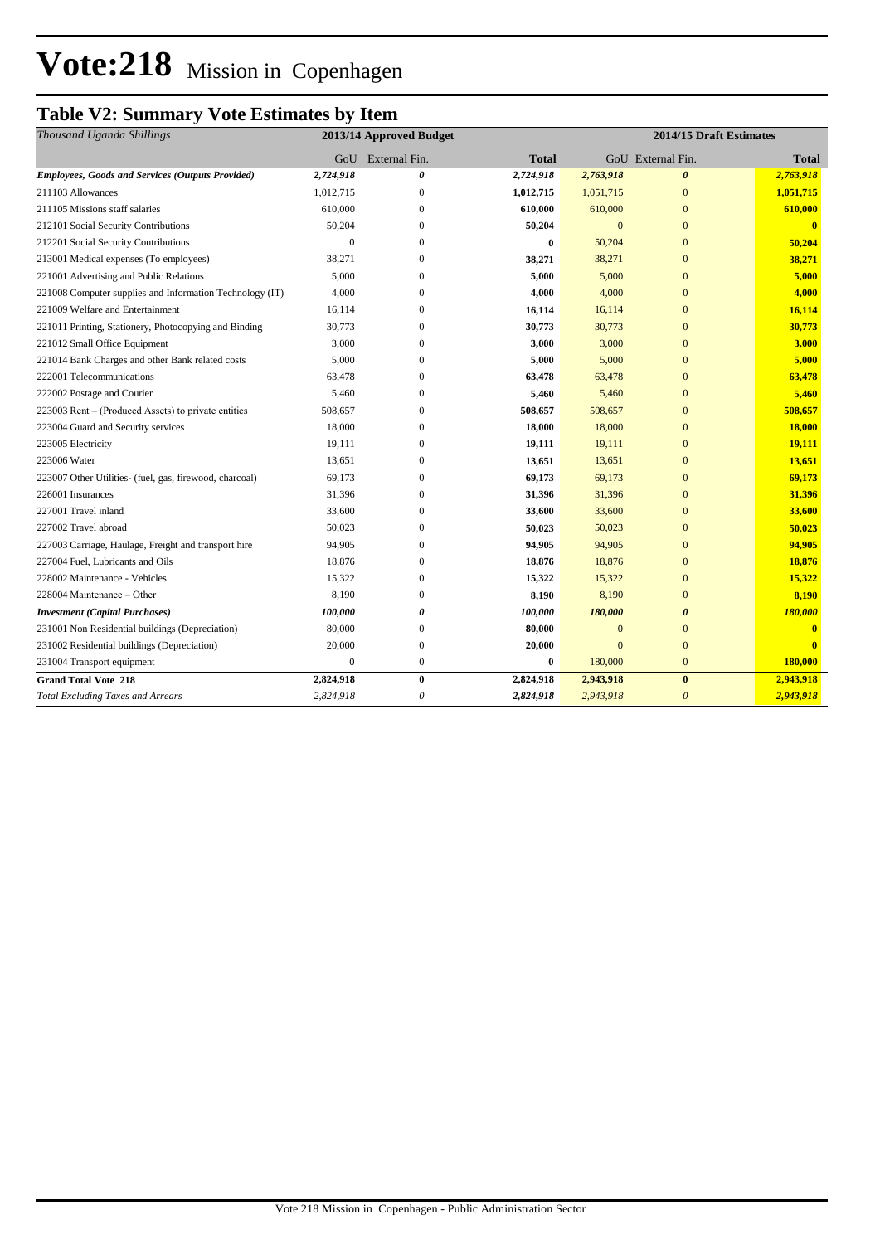# Vote:218 Mission in Copenhagen

## **Table V2: Summary Vote Estimates by Item**

| Thousand Uganda Shillings                                | 2013/14 Approved Budget |                       |              | 2014/15 Draft Estimates |                       |              |  |
|----------------------------------------------------------|-------------------------|-----------------------|--------------|-------------------------|-----------------------|--------------|--|
|                                                          | GoU                     | External Fin.         | <b>Total</b> |                         | GoU External Fin.     | <b>Total</b> |  |
| <b>Employees, Goods and Services (Outputs Provided)</b>  | 2,724,918               | 0                     | 2,724,918    | 2,763,918               | $\boldsymbol{\theta}$ | 2,763,918    |  |
| 211103 Allowances                                        | 1,012,715               | $\boldsymbol{0}$      | 1,012,715    | 1,051,715               | $\mathbf{0}$          | 1,051,715    |  |
| 211105 Missions staff salaries                           | 610,000                 | $\mathbf{0}$          | 610,000      | 610,000                 | $\mathbf{0}$          | 610,000      |  |
| 212101 Social Security Contributions                     | 50,204                  | $\mathbf{0}$          | 50,204       | $\mathbf{0}$            | $\overline{0}$        | $\mathbf{0}$ |  |
| 212201 Social Security Contributions                     | $\Omega$                | $\Omega$              | $\bf{0}$     | 50,204                  | $\overline{0}$        | 50,204       |  |
| 213001 Medical expenses (To employees)                   | 38,271                  | $\Omega$              | 38,271       | 38,271                  | $\mathbf{0}$          | 38,271       |  |
| 221001 Advertising and Public Relations                  | 5,000                   | $\Omega$              | 5,000        | 5,000                   | $\overline{0}$        | 5,000        |  |
| 221008 Computer supplies and Information Technology (IT) | 4,000                   | $\mathbf{0}$          | 4,000        | 4,000                   | $\overline{0}$        | 4,000        |  |
| 221009 Welfare and Entertainment                         | 16,114                  | 0                     | 16,114       | 16,114                  | $\overline{0}$        | 16,114       |  |
| 221011 Printing, Stationery, Photocopying and Binding    | 30,773                  | $\mathbf{0}$          | 30,773       | 30,773                  | $\overline{0}$        | 30,773       |  |
| 221012 Small Office Equipment                            | 3,000                   | $\mathbf{0}$          | 3,000        | 3,000                   | $\overline{0}$        | 3,000        |  |
| 221014 Bank Charges and other Bank related costs         | 5,000                   | $\mathbf{0}$          | 5,000        | 5,000                   | $\overline{0}$        | 5,000        |  |
| 222001 Telecommunications                                | 63,478                  | $\Omega$              | 63,478       | 63,478                  | $\mathbf{0}$          | 63,478       |  |
| 222002 Postage and Courier                               | 5,460                   | $\Omega$              | 5,460        | 5,460                   | $\overline{0}$        | 5,460        |  |
| 223003 Rent – (Produced Assets) to private entities      | 508,657                 | $\mathbf{0}$          | 508,657      | 508,657                 | $\overline{0}$        | 508,657      |  |
| 223004 Guard and Security services                       | 18,000                  | $\Omega$              | 18,000       | 18,000                  | $\overline{0}$        | 18,000       |  |
| 223005 Electricity                                       | 19,111                  | $\Omega$              | 19,111       | 19,111                  | $\overline{0}$        | 19,111       |  |
| 223006 Water                                             | 13,651                  | $\mathbf{0}$          | 13,651       | 13,651                  | $\overline{0}$        | 13,651       |  |
| 223007 Other Utilities- (fuel, gas, firewood, charcoal)  | 69,173                  | $\Omega$              | 69,173       | 69,173                  | $\overline{0}$        | 69,173       |  |
| 226001 Insurances                                        | 31,396                  | $\mathbf{0}$          | 31,396       | 31,396                  | $\overline{0}$        | 31,396       |  |
| 227001 Travel inland                                     | 33,600                  | $\mathbf{0}$          | 33,600       | 33,600                  | $\overline{0}$        | 33,600       |  |
| 227002 Travel abroad                                     | 50,023                  | $\mathbf{0}$          | 50,023       | 50,023                  | $\overline{0}$        | 50,023       |  |
| 227003 Carriage, Haulage, Freight and transport hire     | 94,905                  | $\overline{0}$        | 94,905       | 94,905                  | $\overline{0}$        | 94,905       |  |
| 227004 Fuel, Lubricants and Oils                         | 18,876                  | $\boldsymbol{0}$      | 18,876       | 18,876                  | $\mathbf{0}$          | 18,876       |  |
| 228002 Maintenance - Vehicles                            | 15,322                  | $\boldsymbol{0}$      | 15,322       | 15,322                  | $\mathbf{0}$          | 15,322       |  |
| 228004 Maintenance - Other                               | 8,190                   | $\boldsymbol{0}$      | 8,190        | 8,190                   | $\mathbf{0}$          | 8,190        |  |
| <b>Investment</b> (Capital Purchases)                    | 100,000                 | $\pmb{\theta}$        | 100,000      | 180,000                 | $\boldsymbol{\theta}$ | 180,000      |  |
| 231001 Non Residential buildings (Depreciation)          | 80,000                  | $\mathbf{0}$          | 80,000       | $\mathbf{0}$            | $\mathbf{0}$          |              |  |
| 231002 Residential buildings (Depreciation)              | 20,000                  | $\boldsymbol{0}$      | 20,000       | $\overline{0}$          | $\overline{0}$        |              |  |
| 231004 Transport equipment                               | $\mathbf{0}$            | $\boldsymbol{0}$      | $\bf{0}$     | 180,000                 | $\mathbf{0}$          | 180,000      |  |
| <b>Grand Total Vote 218</b>                              | 2,824,918               | $\bf{0}$              | 2,824,918    | 2,943,918               | $\bf{0}$              | 2,943,918    |  |
| <b>Total Excluding Taxes and Arrears</b>                 | 2,824,918               | $\boldsymbol{\theta}$ | 2,824,918    | 2,943,918               | $\boldsymbol{\theta}$ | 2,943,918    |  |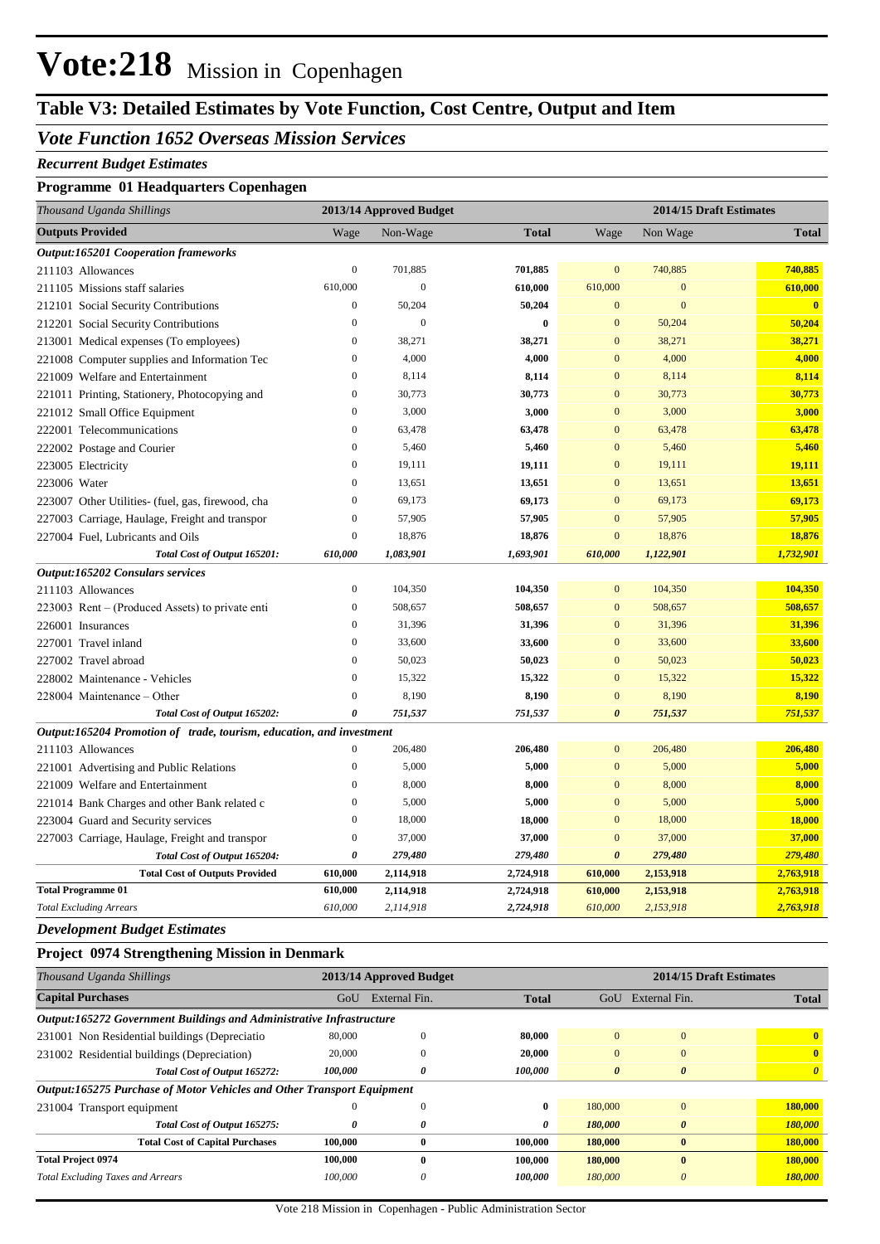## **Vote:218** Mission in Copenhagen

### **Table V3: Detailed Estimates by Vote Function, Cost Centre, Output and Item**

#### *Vote Function 1652 Overseas Mission Services*

#### *Recurrent Budget Estimates*

#### **Programme 01 Headquarters Copenhagen**

| Thousand Uganda Shillings                                            |                  | 2013/14 Approved Budget | 2014/15 Draft Estimates |                       |              |                         |
|----------------------------------------------------------------------|------------------|-------------------------|-------------------------|-----------------------|--------------|-------------------------|
| <b>Outputs Provided</b>                                              | Wage             | Non-Wage                | <b>Total</b>            | Wage                  | Non Wage     | <b>Total</b>            |
| <b>Output:165201 Cooperation frameworks</b>                          |                  |                         |                         |                       |              |                         |
| 211103 Allowances                                                    | $\boldsymbol{0}$ | 701,885                 | 701,885                 | $\mathbf{0}$          | 740,885      | 740,885                 |
| 211105 Missions staff salaries                                       | 610,000          | $\mathbf{0}$            | 610,000                 | 610,000               | $\mathbf{0}$ | 610,000                 |
| 212101 Social Security Contributions                                 | $\boldsymbol{0}$ | 50,204                  | 50,204                  | $\mathbf{0}$          | $\mathbf{0}$ | $\overline{\mathbf{0}}$ |
| 212201 Social Security Contributions                                 | $\boldsymbol{0}$ | $\overline{0}$          | $\bf{0}$                | $\mathbf{0}$          | 50,204       | 50,204                  |
| 213001 Medical expenses (To employees)                               | $\boldsymbol{0}$ | 38,271                  | 38,271                  | $\mathbf{0}$          | 38,271       | 38,271                  |
| 221008 Computer supplies and Information Tec                         | $\boldsymbol{0}$ | 4,000                   | 4,000                   | $\mathbf{0}$          | 4,000        | 4,000                   |
| 221009 Welfare and Entertainment                                     | $\boldsymbol{0}$ | 8,114                   | 8,114                   | $\mathbf{0}$          | 8,114        | 8,114                   |
| 221011 Printing, Stationery, Photocopying and                        | $\boldsymbol{0}$ | 30,773                  | 30,773                  | $\mathbf{0}$          | 30,773       | 30,773                  |
| 221012 Small Office Equipment                                        | $\boldsymbol{0}$ | 3,000                   | 3,000                   | $\mathbf{0}$          | 3,000        | 3,000                   |
| 222001 Telecommunications                                            | $\boldsymbol{0}$ | 63,478                  | 63,478                  | $\mathbf{0}$          | 63,478       | 63,478                  |
| 222002 Postage and Courier                                           | $\mathbf{0}$     | 5,460                   | 5,460                   | $\boldsymbol{0}$      | 5,460        | 5,460                   |
| 223005 Electricity                                                   | $\mathbf{0}$     | 19,111                  | 19,111                  | $\mathbf{0}$          | 19,111       | 19,111                  |
| 223006 Water                                                         | $\overline{0}$   | 13,651                  | 13,651                  | $\mathbf{0}$          | 13,651       | 13,651                  |
| 223007 Other Utilities- (fuel, gas, firewood, cha                    | $\boldsymbol{0}$ | 69,173                  | 69,173                  | $\mathbf{0}$          | 69,173       | 69,173                  |
| 227003 Carriage, Haulage, Freight and transpor                       | $\boldsymbol{0}$ | 57,905                  | 57,905                  | $\mathbf{0}$          | 57,905       | 57,905                  |
| 227004 Fuel, Lubricants and Oils                                     | $\boldsymbol{0}$ | 18,876                  | 18,876                  | $\boldsymbol{0}$      | 18,876       | 18,876                  |
| Total Cost of Output 165201:                                         | 610,000          | 1,083,901               | 1,693,901               | 610,000               | 1,122,901    | 1,732,901               |
| <b>Output:165202 Consulars services</b>                              |                  |                         |                         |                       |              |                         |
| 211103 Allowances                                                    | $\boldsymbol{0}$ | 104,350                 | 104,350                 | $\mathbf{0}$          | 104,350      | 104,350                 |
| 223003 Rent – (Produced Assets) to private enti                      | $\mathbf{0}$     | 508,657                 | 508,657                 | $\overline{0}$        | 508,657      | 508,657                 |
| 226001 Insurances                                                    | $\mathbf{0}$     | 31,396                  | 31,396                  | $\mathbf{0}$          | 31,396       | 31,396                  |
| 227001 Travel inland                                                 | $\mathbf{0}$     | 33,600                  | 33,600                  | $\mathbf{0}$          | 33,600       | 33,600                  |
| 227002 Travel abroad                                                 | $\boldsymbol{0}$ | 50,023                  | 50,023                  | $\mathbf{0}$          | 50,023       | 50,023                  |
| 228002 Maintenance - Vehicles                                        | $\boldsymbol{0}$ | 15,322                  | 15,322                  | $\mathbf{0}$          | 15,322       | 15,322                  |
| 228004 Maintenance – Other                                           | $\mathbf{0}$     | 8,190                   | 8,190                   | $\mathbf{0}$          | 8,190        | 8,190                   |
| Total Cost of Output 165202:                                         | 0                | 751,537                 | 751,537                 | $\boldsymbol{\theta}$ | 751,537      | 751,537                 |
| Output:165204 Promotion of trade, tourism, education, and investment |                  |                         |                         |                       |              |                         |
| 211103 Allowances                                                    | $\boldsymbol{0}$ | 206,480                 | 206,480                 | $\mathbf{0}$          | 206,480      | 206,480                 |
| 221001 Advertising and Public Relations                              | $\mathbf{0}$     | 5,000                   | 5,000                   | $\boldsymbol{0}$      | 5,000        | 5,000                   |
| 221009 Welfare and Entertainment                                     | $\boldsymbol{0}$ | 8,000                   | 8,000                   | $\boldsymbol{0}$      | 8,000        | 8,000                   |
| 221014 Bank Charges and other Bank related c                         | $\boldsymbol{0}$ | 5,000                   | 5,000                   | $\mathbf{0}$          | 5,000        | 5,000                   |
| 223004 Guard and Security services                                   | $\boldsymbol{0}$ | 18,000                  | 18,000                  | $\mathbf{0}$          | 18,000       | 18,000                  |
| 227003 Carriage, Haulage, Freight and transpor                       | $\boldsymbol{0}$ | 37,000                  | 37,000                  | $\mathbf{0}$          | 37,000       | 37,000                  |
| Total Cost of Output 165204:                                         | 0                | 279,480                 | 279,480                 | $\boldsymbol{\theta}$ | 279,480      | 279,480                 |
| <b>Total Cost of Outputs Provided</b>                                | 610,000          | 2,114,918               | 2,724,918               | 610,000               | 2,153,918    | 2,763,918               |
| <b>Total Programme 01</b>                                            | 610,000          | 2,114,918               | 2,724,918               | 610,000               | 2,153,918    | 2,763,918               |
| <b>Total Excluding Arrears</b>                                       | 610,000          | 2,114,918               | 2,724,918               | 610,000               | 2,153,918    | 2,763,918               |

*Development Budget Estimates*

#### **Project 0974 Strengthening Mission in Denmark**

| Thousand Uganda Shillings                                                     | 2013/14 Approved Budget |               |              |                       |               | 2014/15 Draft Estimates |  |
|-------------------------------------------------------------------------------|-------------------------|---------------|--------------|-----------------------|---------------|-------------------------|--|
| <b>Capital Purchases</b>                                                      | GoU                     | External Fin. | <b>Total</b> | GoU                   | External Fin. | <b>Total</b>            |  |
| Output:165272 Government Buildings and Administrative Infrastructure          |                         |               |              |                       |               |                         |  |
| 231001 Non Residential buildings (Depreciatio                                 | 80,000                  | $\Omega$      | 80.000       | $\Omega$              | $\mathbf{0}$  | $\mathbf{0}$            |  |
| 231002 Residential buildings (Depreciation)                                   | 20,000                  | $\Omega$      | 20,000       | $\mathbf{0}$          | $\mathbf{0}$  | $\mathbf{0}$            |  |
| Total Cost of Output 165272:                                                  | <i>100,000</i>          | 0             | 100,000      | $\boldsymbol{\theta}$ | $\theta$      | $\boldsymbol{\theta}$   |  |
| <b>Output:165275 Purchase of Motor Vehicles and Other Transport Equipment</b> |                         |               |              |                       |               |                         |  |
| 231004 Transport equipment                                                    | O                       | $\mathbf{0}$  | $\bf{0}$     | 180,000               | $\mathbf{0}$  | 180,000                 |  |
| Total Cost of Output 165275:                                                  | 0                       | 0             | 0            | 180,000               | $\theta$      | 180,000                 |  |
| <b>Total Cost of Capital Purchases</b>                                        | 100,000                 | $\bf{0}$      | 100.000      | 180,000               | $\bf{0}$      | 180,000                 |  |
| <b>Total Project 0974</b>                                                     | 100,000                 | $\mathbf{0}$  | 100.000      | 180,000               | $\mathbf{0}$  | 180,000                 |  |
| <b>Total Excluding Taxes and Arrears</b>                                      | 100,000                 | $\theta$      | 100.000      | 180,000               | $\theta$      | 180,000                 |  |